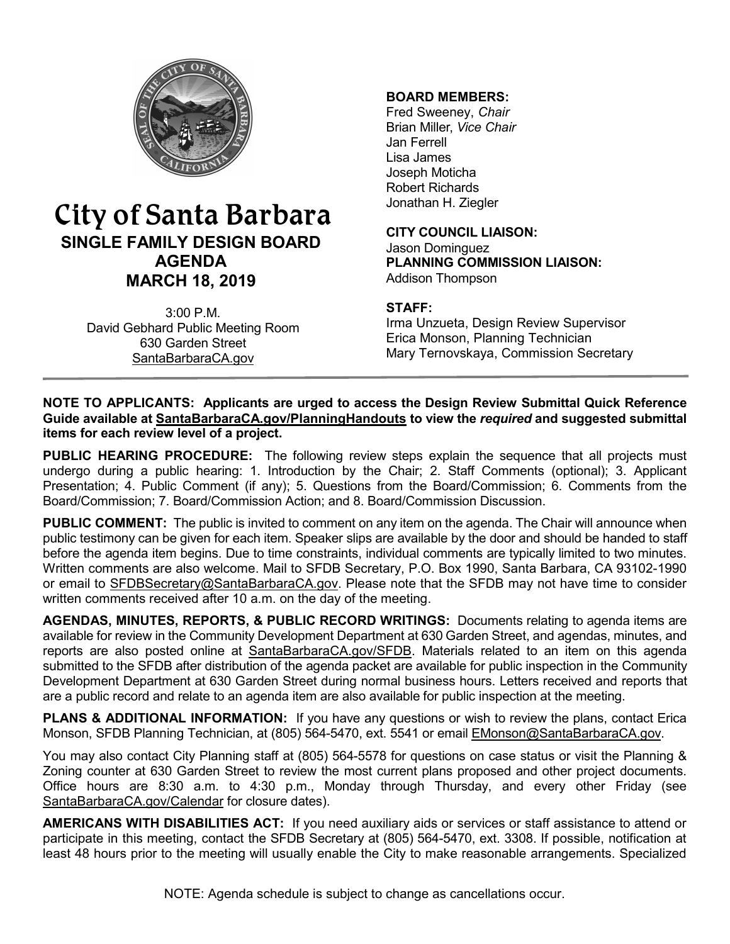

# City of Santa Barbara **SINGLE FAMILY DESIGN BOARD AGENDA MARCH 18, 2019**

3:00 P.M. David Gebhard Public Meeting Room 630 Garden Street [SantaBarbaraCA.gov](http://www.santabarbaraca.gov/)

## **BOARD MEMBERS:**

Fred Sweeney, *Chair* Brian Miller, *Vice Chair* Jan Ferrell Lisa James Joseph Moticha Robert Richards Jonathan H. Ziegler

**CITY COUNCIL LIAISON:** Jason Dominguez **PLANNING COMMISSION LIAISON:** Addison Thompson

## **STAFF:**

Irma Unzueta, Design Review Supervisor Erica Monson, Planning Technician Mary Ternovskaya, Commission Secretary

#### **NOTE TO APPLICANTS: Applicants are urged to access the Design Review Submittal Quick Reference Guide available at [SantaBarbaraCA.gov/PlanningHandouts](http://www.santabarbaraca.gov/services/planning/forms/planning.asp?utm_source=CommunityDevelopmentutm_medium=PlanningHandoutsutm_campaign=QuickLinks) to view the** *required* **and suggested submittal items for each review level of a project.**

**PUBLIC HEARING PROCEDURE:** The following review steps explain the sequence that all projects must undergo during a public hearing: 1. Introduction by the Chair; 2. Staff Comments (optional); 3. Applicant Presentation; 4. Public Comment (if any); 5. Questions from the Board/Commission; 6. Comments from the Board/Commission; 7. Board/Commission Action; and 8. Board/Commission Discussion.

**PUBLIC COMMENT:** The public is invited to comment on any item on the agenda. The Chair will announce when public testimony can be given for each item. Speaker slips are available by the door and should be handed to staff before the agenda item begins. Due to time constraints, individual comments are typically limited to two minutes. Written comments are also welcome. Mail to SFDB Secretary, P.O. Box 1990, Santa Barbara, CA 93102-1990 or email to [SFDBSecretary@SantaBarbaraCA.gov](mailto:SFDBSecretary@SantaBarbaraCA.gov). Please note that the SFDB may not have time to consider written comments received after 10 a.m. on the day of the meeting.

**AGENDAS, MINUTES, REPORTS, & PUBLIC RECORD WRITINGS:** Documents relating to agenda items are available for review in the Community Development Department at 630 Garden Street, and agendas, minutes, and reports are also posted online at [SantaBarbaraCA.gov/SFDB](http://www.santabarbaraca.gov/gov/brdcomm/nz/sfdb/agendas.asp). Materials related to an item on this agenda submitted to the SFDB after distribution of the agenda packet are available for public inspection in the Community Development Department at 630 Garden Street during normal business hours. Letters received and reports that are a public record and relate to an agenda item are also available for public inspection at the meeting.

**PLANS & ADDITIONAL INFORMATION:** If you have any questions or wish to review the plans, contact Erica Monson, SFDB Planning Technician, at (805) 564-5470, ext. 5541 or email [EMonson@SantaBarbaraCA.gov](mailto:EMonson@SantaBarbaraCA.gov).

You may also contact City Planning staff at (805) 564-5578 for questions on case status or visit the Planning & Zoning counter at 630 Garden Street to review the most current plans proposed and other project documents. Office hours are 8:30 a.m. to 4:30 p.m., Monday through Thursday, and every other Friday (see [SantaBarbaraCA.gov/Calendar](http://www.santabarbaraca.gov/cals/default.asp) for closure dates).

**AMERICANS WITH DISABILITIES ACT:** If you need auxiliary aids or services or staff assistance to attend or participate in this meeting, contact the SFDB Secretary at (805) 564-5470, ext. 3308. If possible, notification at least 48 hours prior to the meeting will usually enable the City to make reasonable arrangements. Specialized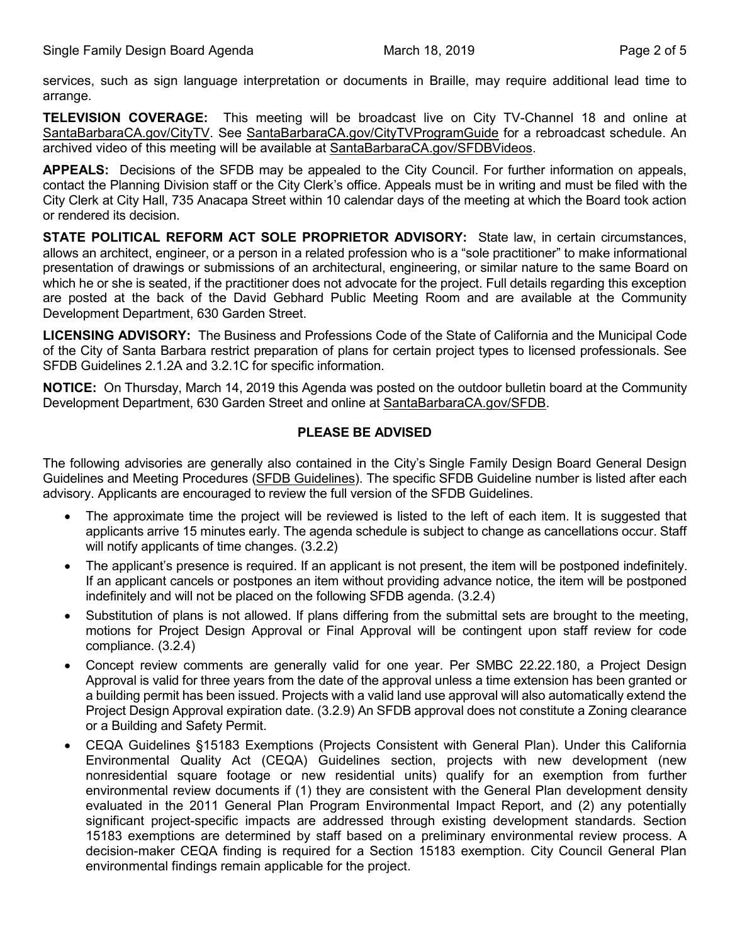services, such as sign language interpretation or documents in Braille, may require additional lead time to arrange.

**TELEVISION COVERAGE:** This meeting will be broadcast live on City TV-Channel 18 and online at [SantaBarbaraCA.gov/CityTV](http://www.santabarbaraca.gov/CityTV). See [SantaBarbaraCA.gov/CityTVProgramGuide](http://www.santabarbaraca.gov/CityTVProgramGuide) for a rebroadcast schedule. An archived video of this meeting will be available at [SantaBarbaraCA.gov/SFDBVideos.](http://www.santabarbaraca.gov/gov/brdcomm/nz/sfdb/videos.asp)

**APPEALS:** Decisions of the SFDB may be appealed to the City Council. For further information on appeals, contact the Planning Division staff or the City Clerk's office. Appeals must be in writing and must be filed with the City Clerk at City Hall, 735 Anacapa Street within 10 calendar days of the meeting at which the Board took action or rendered its decision.

**STATE POLITICAL REFORM ACT SOLE PROPRIETOR ADVISORY:** State law, in certain circumstances, allows an architect, engineer, or a person in a related profession who is a "sole practitioner" to make informational presentation of drawings or submissions of an architectural, engineering, or similar nature to the same Board on which he or she is seated, if the practitioner does not advocate for the project. Full details regarding this exception are posted at the back of the David Gebhard Public Meeting Room and are available at the Community Development Department, 630 Garden Street.

**LICENSING ADVISORY:** The Business and Professions Code of the State of California and the Municipal Code of the City of Santa Barbara restrict preparation of plans for certain project types to licensed professionals. See SFDB Guidelines 2.1.2A and 3.2.1C for specific information.

**NOTICE:** On Thursday, March 14, 2019 this Agenda was posted on the outdoor bulletin board at the Community Development Department, 630 Garden Street and online at [SantaBarbaraCA.gov/SFDB](http://www.santabarbaraca.gov/gov/brdcomm/nz/sfdb/agendas.asp).

## **PLEASE BE ADVISED**

The following advisories are generally also contained in the City's Single Family Design Board General Design Guidelines and Meeting Procedures (SFDB [Guidelines\)](http://www.santabarbaraca.gov/services/planning/design/boards/sfdb.asp). The specific SFDB Guideline number is listed after each advisory. Applicants are encouraged to review the full version of the SFDB Guidelines.

- The approximate time the project will be reviewed is listed to the left of each item. It is suggested that applicants arrive 15 minutes early. The agenda schedule is subject to change as cancellations occur. Staff will notify applicants of time changes. (3.2.2)
- The applicant's presence is required. If an applicant is not present, the item will be postponed indefinitely. If an applicant cancels or postpones an item without providing advance notice, the item will be postponed indefinitely and will not be placed on the following SFDB agenda. (3.2.4)
- · Substitution of plans is not allowed. If plans differing from the submittal sets are brought to the meeting, motions for Project Design Approval or Final Approval will be contingent upon staff review for code compliance. (3.2.4)
- Concept review comments are generally valid for one year. Per SMBC 22.22.180, a Project Design Approval is valid for three years from the date of the approval unless a time extension has been granted or a building permit has been issued. Projects with a valid land use approval will also automatically extend the Project Design Approval expiration date. (3.2.9) An SFDB approval does not constitute a Zoning clearance or a Building and Safety Permit.
- · CEQA Guidelines §15183 Exemptions (Projects Consistent with General Plan). Under this California Environmental Quality Act (CEQA) Guidelines section, projects with new development (new nonresidential square footage or new residential units) qualify for an exemption from further environmental review documents if (1) they are consistent with the General Plan development density evaluated in the 2011 General Plan Program Environmental Impact Report, and (2) any potentially significant project-specific impacts are addressed through existing development standards. Section 15183 exemptions are determined by staff based on a preliminary environmental review process. A decision-maker CEQA finding is required for a Section 15183 exemption. City Council General Plan environmental findings remain applicable for the project.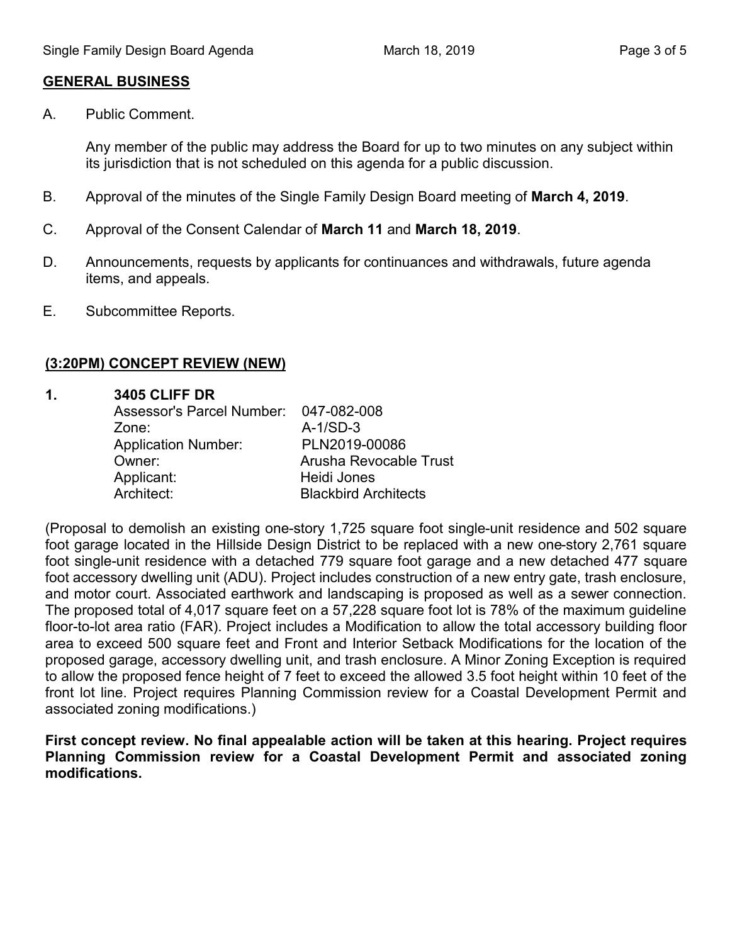### **GENERAL BUSINESS**

A. Public Comment.

Any member of the public may address the Board for up to two minutes on any subject within its jurisdiction that is not scheduled on this agenda for a public discussion.

- B. Approval of the minutes of the Single Family Design Board meeting of **March 4, 2019**.
- C. Approval of the Consent Calendar of **March 11** and **March 18, 2019**.
- D. Announcements, requests by applicants for continuances and withdrawals, future agenda items, and appeals.
- E. Subcommittee Reports.

## **(3:20PM) CONCEPT REVIEW (NEW)**

### **1. 3405 CLIFF DR**

| Assessor's Parcel Number: 047-082-008 |                             |
|---------------------------------------|-----------------------------|
| Zone:                                 | $A-1/SD-3$                  |
| <b>Application Number:</b>            | PLN2019-00086               |
| Owner:                                | Arusha Revocable Trust      |
| Applicant:                            | Heidi Jones                 |
| Architect:                            | <b>Blackbird Architects</b> |

(Proposal to demolish an existing one-story 1,725 square foot single-unit residence and 502 square foot garage located in the Hillside Design District to be replaced with a new one-story 2,761 square foot single-unit residence with a detached 779 square foot garage and a new detached 477 square foot accessory dwelling unit (ADU). Project includes construction of a new entry gate, trash enclosure, and motor court. Associated earthwork and landscaping is proposed as well as a sewer connection. The proposed total of 4,017 square feet on a 57,228 square foot lot is 78% of the maximum guideline floor-to-lot area ratio (FAR). Project includes a Modification to allow the total accessory building floor area to exceed 500 square feet and Front and Interior Setback Modifications for the location of the proposed garage, accessory dwelling unit, and trash enclosure. A Minor Zoning Exception is required to allow the proposed fence height of 7 feet to exceed the allowed 3.5 foot height within 10 feet of the front lot line. Project requires Planning Commission review for a Coastal Development Permit and associated zoning modifications.)

**First concept review. No final appealable action will be taken at this hearing. Project requires Planning Commission review for a Coastal Development Permit and associated zoning modifications.**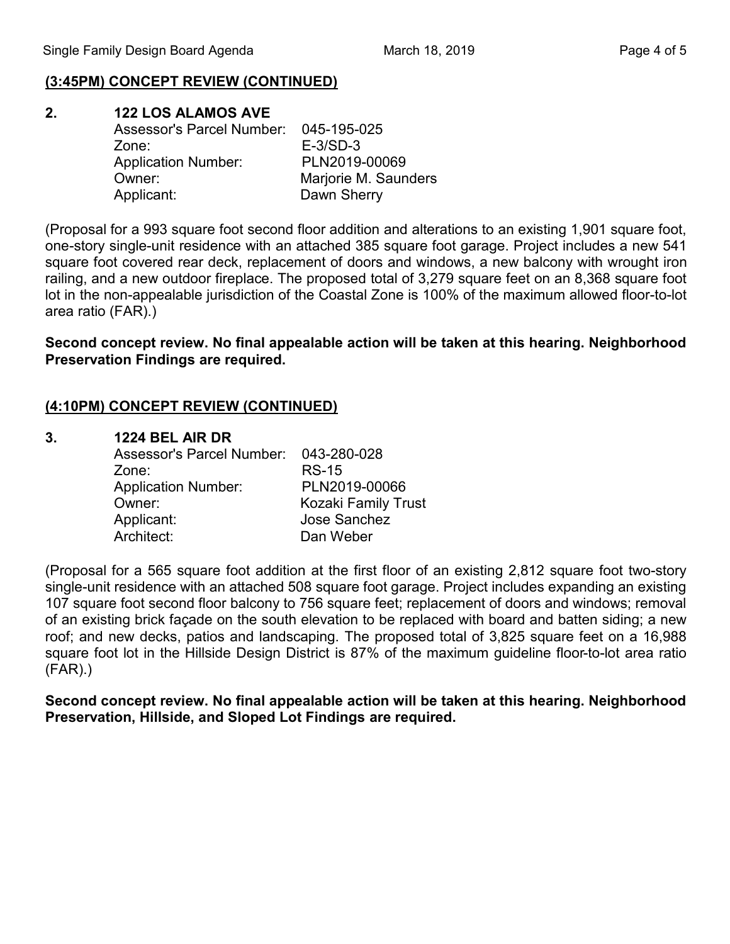## **(3:45PM) CONCEPT REVIEW (CONTINUED)**

| 2. | <b>122 LOS ALAMOS AVE</b>             |                      |
|----|---------------------------------------|----------------------|
|    | Assessor's Parcel Number: 045-195-025 |                      |
|    | Zone:                                 | $E-3/SD-3$           |
|    | <b>Application Number:</b>            | PLN2019-00069        |
|    | Owner:                                | Marjorie M. Saunders |
|    | Applicant:                            | Dawn Sherry          |

(Proposal for a 993 square foot second floor addition and alterations to an existing 1,901 square foot, one-story single-unit residence with an attached 385 square foot garage. Project includes a new 541 square foot covered rear deck, replacement of doors and windows, a new balcony with wrought iron railing, and a new outdoor fireplace. The proposed total of 3,279 square feet on an 8,368 square foot lot in the non-appealable jurisdiction of the Coastal Zone is 100% of the maximum allowed floor-to-lot area ratio (FAR).)

**Second concept review. No final appealable action will be taken at this hearing. Neighborhood Preservation Findings are required.**

### **(4:10PM) CONCEPT REVIEW (CONTINUED)**

#### **3. 1224 BEL AIR DR**

| Assessor's Parcel Number:  | 043-280-028         |
|----------------------------|---------------------|
| Zone:                      | <b>RS-15</b>        |
| <b>Application Number:</b> | PLN2019-00066       |
| Owner:                     | Kozaki Family Trust |
| Applicant:                 | Jose Sanchez        |
| Architect:                 | Dan Weber           |

(Proposal for a 565 square foot addition at the first floor of an existing 2,812 square foot two-story single-unit residence with an attached 508 square foot garage. Project includes expanding an existing 107 square foot second floor balcony to 756 square feet; replacement of doors and windows; removal of an existing brick façade on the south elevation to be replaced with board and batten siding; a new roof; and new decks, patios and landscaping. The proposed total of 3,825 square feet on a 16,988 square foot lot in the Hillside Design District is 87% of the maximum guideline floor-to-lot area ratio (FAR).)

**Second concept review. No final appealable action will be taken at this hearing. Neighborhood Preservation, Hillside, and Sloped Lot Findings are required.**